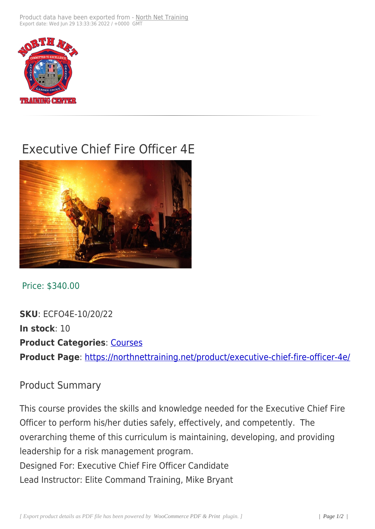

## Executive Chief Fire Officer 4E



Price: \$340.00

**SKU**: ECFO4E-10/20/22 **In stock**: 10 **Product Categories: Courses Product Page**: https://northnettraining.net/product/executive-chief-fire-officer-4e/

## Product Sum[mary](https://northnettraining.net/product/executive-chief-fire-officer-4e/)

This course provides the skills and knowledge needed for the Executive Chief Fire Officer to perform his/her duties safely, effectively, and competently. The overarching theme of this curriculum is maintaining, developing, and providing leadership for a risk management program. Designed For: Executive Chief Fire Officer Candidate Lead Instructor: Elite Command Training, Mike Bryant